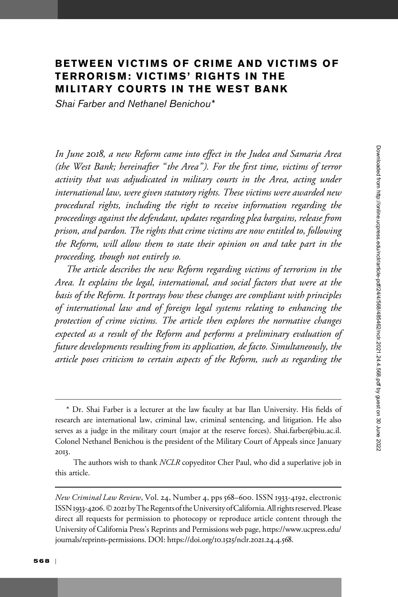# BETWEEN VICTIMS OF CRIME AND VICTIMS OF TERRORISM: VICTIMS' RIGHTS IN THE MILITARY COURTS IN THE WEST BANK

Shai Farber and Nethanel Benichou\*

In June 2018, a new Reform came into effect in the Judea and Samaria Area (the West Bank; hereinafter "the Area"). For the first time, victims of terror activity that was adjudicated in military courts in the Area, acting under international law, were given statutory rights. These victims were awarded new procedural rights, including the right to receive information regarding the proceedings against the defendant, updates regarding plea bargains, release from prison, and pardon. The rights that crime victims are now entitled to, following the Reform, will allow them to state their opinion on and take part in the proceeding, though not entirely so.

The article describes the new Reform regarding victims of terrorism in the Area. It explains the legal, international, and social factors that were at the basis of the Reform. It portrays how these changes are compliant with principles of international law and of foreign legal systems relating to enhancing the protection of crime victims. The article then explores the normative changes expected as a result of the Reform and performs a preliminary evaluation of future developments resulting from its application, de facto. Simultaneously, the article poses criticism to certain aspects of the Reform, such as regarding the

<sup>\*</sup> Dr. Shai Farber is a lecturer at the law faculty at bar Ilan University. His fields of research are international law, criminal law, criminal sentencing, and litigation. He also serves as a judge in the military court (major at the reserve forces). Shai.farber@biu.ac.il. Colonel Nethanel Benichou is the president of the Military Court of Appeals since January 2013.

The authors wish to thank NCLR copyeditor Cher Paul, who did a superlative job in this article.

New Criminal Law Review, Vol. 24, Number 4, pps 568–600. ISSN 1933-4192, electronic ISSN 1933-4206. © 2021 by The Regents of the University of California. All rights reserved. Please direct all requests for permission to photocopy or reproduce article content through the University of California Press's Reprints and Permissions web page, [https://www.ucpress.edu/](https://www.ucpress.edu/journals/reprints-permissions) [journals/reprints-permissions.](https://www.ucpress.edu/journals/reprints-permissions) [DOI: https://doi.org/](https://doi.org/10.1525/nclr.2021.24.4.568)10.1525/nclr.2021.24.4.568.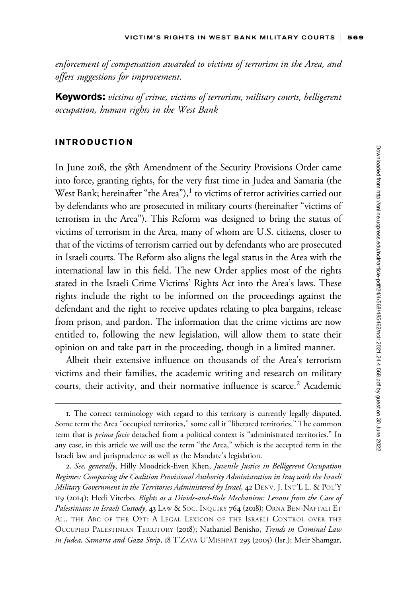enforcement of compensation awarded to victims of terrorism in the Area, and offers suggestions for improvement.

Keywords: victims of crime, victims of terrorism, military courts, belligerent occupation, human rights in the West Bank

### INTRODUCTION

In June 2018, the 58th Amendment of the Security Provisions Order came into force, granting rights, for the very first time in Judea and Samaria (the West Bank; hereinafter "the Area"), $<sup>1</sup>$  to victims of terror activities carried out</sup> by defendants who are prosecuted in military courts (hereinafter "victims of terrorism in the Area"). This Reform was designed to bring the status of victims of terrorism in the Area, many of whom are U.S. citizens, closer to that of the victims of terrorism carried out by defendants who are prosecuted in Israeli courts. The Reform also aligns the legal status in the Area with the international law in this field. The new Order applies most of the rights stated in the Israeli Crime Victims' Rights Act into the Area's laws. These rights include the right to be informed on the proceedings against the defendant and the right to receive updates relating to plea bargains, release from prison, and pardon. The information that the crime victims are now entitled to, following the new legislation, will allow them to state their opinion on and take part in the proceeding, though in a limited manner.

Albeit their extensive influence on thousands of the Area's terrorism victims and their families, the academic writing and research on military courts, their activity, and their normative influence is scarce.<sup>2</sup> Academic

<sup>1.</sup> The correct terminology with regard to this territory is currently legally disputed. Some term the Area "occupied territories," some call it "liberated territories." The common term that is *prima facie* detached from a political context is "administrated territories." In any case, in this article we will use the term "the Area," which is the accepted term in the Israeli law and jurisprudence as well as the Mandate's legislation.

<sup>2.</sup> See, generally, Hilly Moodrick-Even Khen, Juvenile Justice in Belligerent Occupation Regimes: Comparing the Coalition Provisional Authority Administration in Iraq with the Israeli Military Government in the Territories Administered by Israel, 42 DENV. J. INT'L L. & POL'Y 119 (2014); Hedi Viterbo, Rights as a Divide-and-Rule Mechanism: Lessons from the Case of Palestinians in Israeli Custody, 43 LAW & SOC. INQUIRY 764 (2018); ORNA BEN-NAFTALI ET AL., THE ABC OF THE OPT: A LEGAL LEXICON OF THE ISRAELI CONTROL OVER THE OCCUPIED PALESTINIAN TERRITORY (2018); Nathaniel Benisho, Trends in Criminal Law in Judea, Samaria and Gaza Strip, 18 T'ZAVA U'MISHPAT 293 (2005) (Isr.); Meir Shamgar,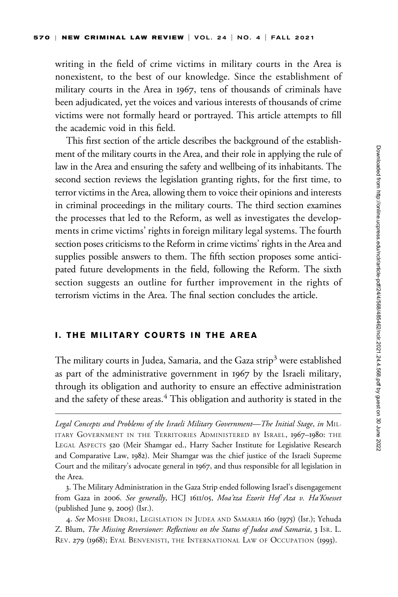writing in the field of crime victims in military courts in the Area is nonexistent, to the best of our knowledge. Since the establishment of military courts in the Area in 1967, tens of thousands of criminals have been adjudicated, yet the voices and various interests of thousands of crime victims were not formally heard or portrayed. This article attempts to fill the academic void in this field.

This first section of the article describes the background of the establishment of the military courts in the Area, and their role in applying the rule of law in the Area and ensuring the safety and wellbeing of its inhabitants. The second section reviews the legislation granting rights, for the first time, to terror victims in the Area, allowing them to voice their opinions and interests in criminal proceedings in the military courts. The third section examines the processes that led to the Reform, as well as investigates the developments in crime victims' rights in foreign military legal systems. The fourth section poses criticisms to the Reform in crime victims' rights in the Area and supplies possible answers to them. The fifth section proposes some anticipated future developments in the field, following the Reform. The sixth section suggests an outline for further improvement in the rights of terrorism victims in the Area. The final section concludes the article.

#### I. THE MILITARY COURTS IN THE AREA

The military courts in Judea, Samaria, and the Gaza strip<sup>3</sup> were established as part of the administrative government in 1967 by the Israeli military, through its obligation and authority to ensure an effective administration and the safety of these areas.<sup>4</sup> This obligation and authority is stated in the

Legal Concepts and Problems of the Israeli Military Government—The Initial Stage, in MIL-ITARY GOVERNMENT IN THE TERRITORIES ADMINISTERED BY ISRAEL, 1967-1980: THE LEGAL ASPECTS 520 (Meir Shamgar ed., Harry Sacher Institute for Legislative Research and Comparative Law, 1982). Meir Shamgar was the chief justice of the Israeli Supreme Court and the military's advocate general in 1967, and thus responsible for all legislation in the Area.

<sup>3.</sup> The Military Administration in the Gaza Strip ended following Israel's disengagement from Gaza in 2006. See generally, HCJ 1611/05, Moa'tza Ezorit Hof Aza v. Ha'Knesset (published June 9, 2005) (Isr.).

<sup>4.</sup> See MOSHE DRORI, LEGISLATION IN JUDEA AND SAMARIA 160 (1975) (Isr.); Yehuda Z. Blum, The Missing Reversioner: Reflections on the Status of Judea and Samaria, 3 ISR. L. REV. 279 (1968); EYAL BENVENISTI, THE INTERNATIONAL LAW OF OCCUPATION (1993).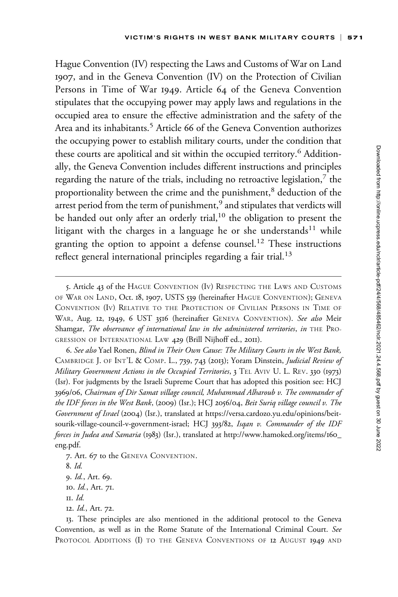Hague Convention (IV) respecting the Laws and Customs of War on Land 1907, and in the Geneva Convention (IV) on the Protection of Civilian Persons in Time of War 1949. Article 64 of the Geneva Convention stipulates that the occupying power may apply laws and regulations in the occupied area to ensure the effective administration and the safety of the Area and its inhabitants.<sup>5</sup> Article 66 of the Geneva Convention authorizes the occupying power to establish military courts, under the condition that these courts are apolitical and sit within the occupied territory.<sup>6</sup> Additionally, the Geneva Convention includes different instructions and principles regarding the nature of the trials, including no retroactive legislation, $^7$  the proportionality between the crime and the punishment,<sup>8</sup> deduction of the arrest period from the term of punishment,<sup>9</sup> and stipulates that verdicts will be handed out only after an orderly trial, $10$  the obligation to present the litigant with the charges in a language he or she understands<sup>11</sup> while granting the option to appoint a defense counsel.<sup>12</sup> These instructions reflect general international principles regarding a fair trial.<sup>13</sup>

6. See also Yael Ronen, Blind in Their Own Cause: The Military Courts in the West Bank, CAMBRIDGE J. OF INT'L & COMP. L., 739, 743 (2013); Yoram Dinstein, Judicial Review of Military Government Actions in the Occupied Territories, 3 TEL AVIV U. L. REV. 330 (1973) (Isr). For judgments by the Israeli Supreme Court that has adopted this position see: HCJ 3969/06, Chairman of Dir Samat village council, Muhammad Alharoub v. The commander of the IDF forces in the West Bank, (2009) (Isr.); HCJ 2056/04, Beit Suriq village council v. The Government of Israel (2004) (Isr.), translated at [https://versa.cardozo.yu.edu/opinions/beit](https://versa.cardozo.yu.edu/opinions/beit-sourik-village-council-v-government-israel)[sourik-village-council-v-government-israel;](https://versa.cardozo.yu.edu/opinions/beit-sourik-village-council-v-government-israel) HCJ 393/82, Isqan v. Commander of the IDF forces in Judea and Samaria (1983) (Isr.), translated at [http://www.hamoked.org/items/](http://www.hamoked.org/items/160_eng.pdf)160\_ [eng.pdf.](http://www.hamoked.org/items/160_eng.pdf)

- 7. Art. 67 to the GENEVA CONVENTION.
- 8. Id.

- 10. Id., Art. 71.
- 11. Id.
- 12. Id., Art. 72.

<sup>5.</sup> Article 43 of the HAGUE CONVENTION (IV) RESPECTING THE LAWS AND CUSTOMS OF WAR ON LAND, Oct. 18, 1907, USTS 539 (hereinafter HAGUE CONVENTION); GENEVA CONVENTION (IV) RELATIVE TO THE PROTECTION OF CIVILIAN PERSONS IN TIME OF WAR, Aug. 12, 1949, 6 UST 3516 (hereinafter GENEVA CONVENTION). See also Meir Shamgar, The observance of international law in the administered territories, in THE PRO-GRESSION OF INTERNATIONAL LAW 429 (Brill Nijhoff ed., 2011).

<sup>9.</sup> Id., Art. 69.

<sup>13.</sup> These principles are also mentioned in the additional protocol to the Geneva Convention, as well as in the Rome Statute of the International Criminal Court. See PROTOCOL ADDITIONS (I) TO THE GENEVA CONVENTIONS OF 12 AUGUST 1949 AND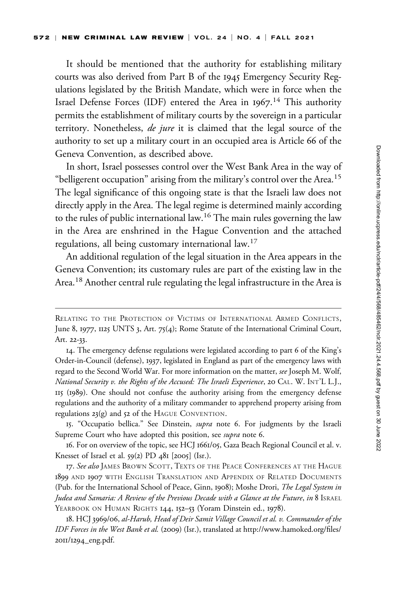It should be mentioned that the authority for establishing military courts was also derived from Part B of the 1945 Emergency Security Regulations legislated by the British Mandate, which were in force when the Israel Defense Forces (IDF) entered the Area in 1967.<sup>14</sup> This authority permits the establishment of military courts by the sovereign in a particular territory. Nonetheless, *de jure* it is claimed that the legal source of the authority to set up a military court in an occupied area is Article 66 of the Geneva Convention, as described above.

In short, Israel possesses control over the West Bank Area in the way of "belligerent occupation" arising from the military's control over the Area.<sup>15</sup> The legal significance of this ongoing state is that the Israeli law does not directly apply in the Area. The legal regime is determined mainly according to the rules of public international law.<sup>16</sup> The main rules governing the law in the Area are enshrined in the Hague Convention and the attached regulations, all being customary international law.<sup>17</sup>

An additional regulation of the legal situation in the Area appears in the Geneva Convention; its customary rules are part of the existing law in the Area.<sup>18</sup> Another central rule regulating the legal infrastructure in the Area is

RELATING TO THE PROTECTION OF VICTIMS OF INTERNATIONAL ARMED CONFLICTS, June 8, 1977, 1125 UNTS 3, Art. 75(4); Rome Statute of the International Criminal Court, Art. 22-33.

<sup>14.</sup> The emergency defense regulations were legislated according to part 6 of the King's Order-in-Council (defense), 1937, legislated in England as part of the emergency laws with regard to the Second World War. For more information on the matter, see Joseph M. Wolf, National Security v. the Rights of the Accused: The Israeli Experience, 20 CAL. W. INT'L L.J., 115 (1989). One should not confuse the authority arising from the emergency defense regulations and the authority of a military commander to apprehend property arising from regulations 23(g) and 52 of the HAGUE CONVENTION.

<sup>15.</sup> "Occupatio bellica." See Dinstein, supra note 6. For judgments by the Israeli Supreme Court who have adopted this position, see supra note 6.

<sup>16.</sup> For on overview of the topic, see HCJ 1661/05, Gaza Beach Regional Council et al. v. Knesset of Israel et al.  $59(2)$  PD  $48I$  [2005] (Isr.).

<sup>17.</sup> See also JAMES BROWN SCOTT, TEXTS OF THE PEACE CONFERENCES AT THE HAGUE 1899 AND 1907 WITH ENGLISH TRANSLATION AND APPENDIX OF RELATED DOCUMENTS (Pub. for the International School of Peace, Ginn, 1908); Moshe Drori, The Legal System in Judea and Samaria: A Review of the Previous Decade with a Glance at the Future, in 8 ISRAEL YEARBOOK ON HUMAN RIGHTS 144, 152-53 (Yoram Dinstein ed., 1978).

<sup>18.</sup> HCJ 3969/06, al-Harub, Head of Deir Samit Village Council et al. v. Commander of the IDF Forces in the West Bank et al. (2009) (Isr.), translated at [http://www.hamoked.org/files/](http://www.hamoked.org/files/2011/1294_eng.pdf) 2011/1294[\\_eng.pdf](http://www.hamoked.org/files/2011/1294_eng.pdf).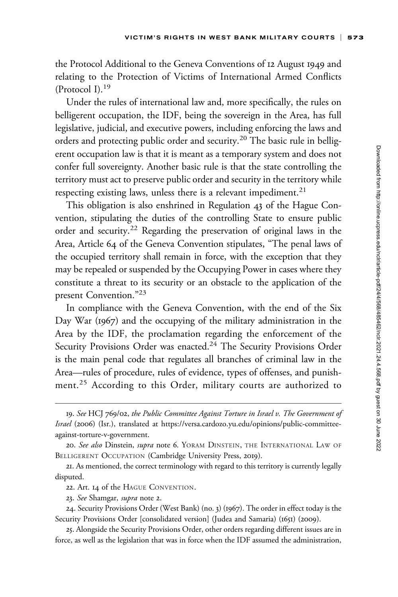the Protocol Additional to the Geneva Conventions of 12 August 1949 and relating to the Protection of Victims of International Armed Conflicts (Protocol I).<sup>19</sup>

Under the rules of international law and, more specifically, the rules on belligerent occupation, the IDF, being the sovereign in the Area, has full legislative, judicial, and executive powers, including enforcing the laws and orders and protecting public order and security.<sup>20</sup> The basic rule in belligerent occupation law is that it is meant as a temporary system and does not confer full sovereignty. Another basic rule is that the state controlling the territory must act to preserve public order and security in the territory while respecting existing laws, unless there is a relevant impediment.<sup>21</sup>

This obligation is also enshrined in Regulation 43 of the Hague Convention, stipulating the duties of the controlling State to ensure public order and security.<sup>22</sup> Regarding the preservation of original laws in the Area, Article 64 of the Geneva Convention stipulates, "The penal laws of the occupied territory shall remain in force, with the exception that they may be repealed or suspended by the Occupying Power in cases where they constitute a threat to its security or an obstacle to the application of the present Convention."<sup>23</sup>

In compliance with the Geneva Convention, with the end of the Six Day War (1967) and the occupying of the military administration in the Area by the IDF, the proclamation regarding the enforcement of the Security Provisions Order was enacted.<sup>24</sup> The Security Provisions Order is the main penal code that regulates all branches of criminal law in the Area—rules of procedure, rules of evidence, types of offenses, and punishment.<sup>25</sup> According to this Order, military courts are authorized to

<sup>19.</sup> See HCJ 769/02, the Public Committee Against Torture in Israel v. The Government of Israel (2006) (Isr.), translated at [https://versa.cardozo.yu.edu/opinions/public-committee](https://versa.cardozo.yu.edu/opinions/public-committee-against-torture-v-government)[against-torture-v-government](https://versa.cardozo.yu.edu/opinions/public-committee-against-torture-v-government).

<sup>20.</sup> See also Dinstein, supra note 6. YORAM DINSTEIN, THE INTERNATIONAL LAW OF BELLIGERENT OCCUPATION (Cambridge University Press, 2019).

<sup>21.</sup> As mentioned, the correct terminology with regard to this territory is currently legally disputed.

<sup>22.</sup> Art. 14 of the HAGUE CONVENTION.

<sup>23.</sup> See Shamgar, supra note 2.

<sup>24.</sup> Security Provisions Order (West Bank) (no. 3) (1967). The order in effect today is the Security Provisions Order [consolidated version] (Judea and Samaria) (1651) (2009).

<sup>25.</sup> Alongside the Security Provisions Order, other orders regarding different issues are in force, as well as the legislation that was in force when the IDF assumed the administration,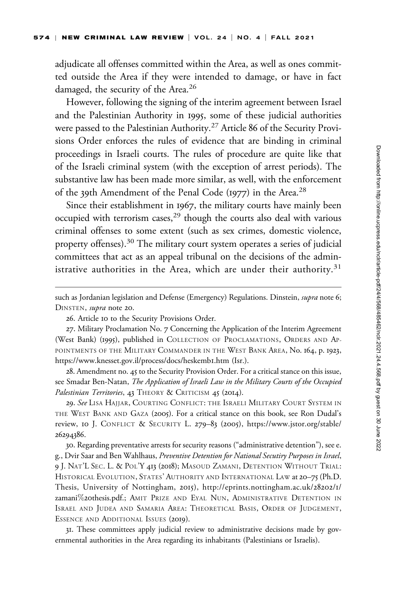adjudicate all offenses committed within the Area, as well as ones committed outside the Area if they were intended to damage, or have in fact damaged, the security of the Area.<sup>26</sup>

However, following the signing of the interim agreement between Israel and the Palestinian Authority in 1995, some of these judicial authorities were passed to the Palestinian Authority.<sup>27</sup> Article 86 of the Security Provisions Order enforces the rules of evidence that are binding in criminal proceedings in Israeli courts. The rules of procedure are quite like that of the Israeli criminal system (with the exception of arrest periods). The substantive law has been made more similar, as well, with the enforcement of the 39th Amendment of the Penal Code (1977) in the Area.<sup>28</sup>

Since their establishment in 1967, the military courts have mainly been occupied with terrorism cases, $^{29}$  though the courts also deal with various criminal offenses to some extent (such as sex crimes, domestic violence, property offenses).<sup>30</sup> The military court system operates a series of judicial committees that act as an appeal tribunal on the decisions of the administrative authorities in the Area, which are under their authority.<sup>31</sup>

such as Jordanian legislation and Defense (Emergency) Regulations. Dinstein, supra note 6; DINSTEN, *supra* note 20.

26. Article 10 to the Security Provisions Order.

27. Military Proclamation No. 7 Concerning the Application of the Interim Agreement (West Bank) (1995), published in COLLECTION OF PROCLAMATIONS, ORDERS AND AP-POINTMENTS OF THE MILITARY COMMANDER IN THE WEST BANK AREA, No. 164, p. 1923, [https://www.knesset.gov.il/process/docs/heskemb](https://www.knesset.gov.il/process/docs/heskemb1.htm)1.htm (Isr.).

28. Amendment no. 45 to the Security Provision Order. For a critical stance on this issue, see Smadar Ben-Natan, The Application of Israeli Law in the Military Courts of the Occupied Palestinian Territories, 43 THEORY & CRITICISM 45 (2014).

29. See Lisa Hajjar, Courting Conflict: the Israeli Military Court System in THE WEST BANK AND GAZA (2005). For a critical stance on this book, see Ron Dudal's review, 10 J. CONFLICT & SECURITY L. 279–83 (2005), [https://www.jstor.org/stable/](https://www.jstor.org/stable/26294386) [26294386](https://www.jstor.org/stable/26294386).

30. Regarding preventative arrests for security reasons ("administrative detention"), see e. g., Dvir Saar and Ben Wahlhaus, Preventive Detention for National Secutiry Purposes in Israel, 9 J. NAT'L SEC. L. & POL'Y 413 (2018); MASOUD ZAMANI, DETENTION WITHOUT TRIAL: HISTORICAL EVOLUTION, STATES' AUTHORITY AND INTERNATIONAL LAW at 20–75 (Ph.D. Thesis, University of Nottingham, 2015), [http://eprints.nottingham.ac.uk/](http://eprints.nottingham.ac.uk/28202/1/zamani%20thesis.pdf)28202/1/ [zamani](http://eprints.nottingham.ac.uk/28202/1/zamani%20thesis.pdf)%20[thesis.pdf.](http://eprints.nottingham.ac.uk/28202/1/zamani%20thesis.pdf); AMIT PRIZE AND EYAL NUN, ADMINISTRATIVE DETENTION IN ISRAEL AND JUDEA AND SAMARIA AREA: THEORETICAL BASIS, ORDER OF JUDGEMENT, ESSENCE AND ADDITIONAL ISSUES (2019).

31. These committees apply judicial review to administrative decisions made by governmental authorities in the Area regarding its inhabitants (Palestinians or Israelis).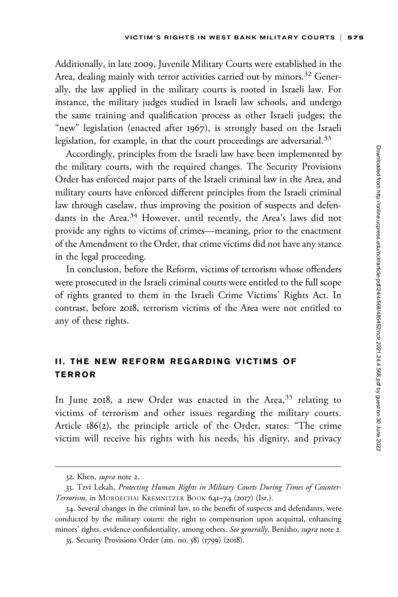Additionally, in late 2009, Juvenile Military Courts were established in the Area, dealing mainly with terror activities carried out by minors.<sup>32</sup> Generally, the law applied in the military courts is rooted in Israeli law. For instance, the military judges studied in Israeli law schools, and undergo the same training and qualification process as other Israeli judges; the "new" legislation (enacted after 1967), is strongly based on the Israeli legislation, for example, in that the court proceedings are adversarial.<sup>33</sup>

Accordingly, principles from the Israeli law have been implemented by the military courts, with the required changes. The Security Provisions Order has enforced major parts of the Israeli criminal law in the Area, and military courts have enforced different principles from the Israeli criminal law through caselaw, thus improving the position of suspects and defendants in the Area.<sup>34</sup> However, until recently, the Area's laws did not provide any rights to victims of crimes—meaning, prior to the enactment of the Amendment to the Order, that crime victims did not have any stance in the legal proceeding.

In conclusion, before the Reform, victims of terrorism whose offenders were prosecuted in the Israeli criminal courts were entitled to the full scope of rights granted to them in the Israeli Crime Victims' Rights Act. In contrast, before 2018, terrorism victims of the Area were not entitled to any of these rights.

### II. THE NEW REFORM REGARDING VICTIMS OF TERROR

In June 2018, a new Order was enacted in the Area,  $35$  relating to victims of terrorism and other issues regarding the military courts. Article 186(2), the principle article of the Order, states: "The crime victim will receive his rights with his needs, his dignity, and privacy

<sup>32.</sup> Khen, *supra* note 2.

<sup>33.</sup> Tzvi Lekah, Protecting Human Rights in Military Courts During Times of Counter-Terrorism, in MORDECHAI KREMNITZER BOOK 641-74 (2017) (Isr.).

<sup>34.</sup> Several changes in the criminal law, to the benefit of suspects and defendants, were conducted by the military courts: the right to compensation upon acquittal, enhancing minors' rights, evidence confidentiality, among others. See generally, Benisho, supra note 2.

<sup>35.</sup> Security Provisions Order (am. no. 58) (1799) (2018).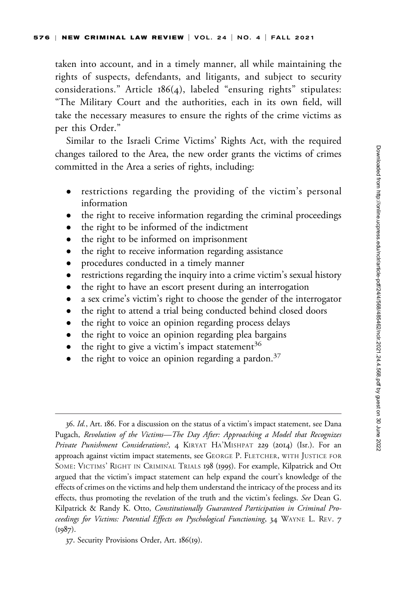taken into account, and in a timely manner, all while maintaining the rights of suspects, defendants, and litigants, and subject to security considerations." Article  $186(4)$ , labeled "ensuring rights" stipulates: "The Military Court and the authorities, each in its own field, will take the necessary measures to ensure the rights of the crime victims as per this Order."

Similar to the Israeli Crime Victims' Rights Act, with the required changes tailored to the Area, the new order grants the victims of crimes committed in the Area a series of rights, including:

- $\bullet$  restrictions regarding the providing of the victim's personal information
- $\bullet$ the right to receive information regarding the criminal proceedings
- $\bullet$ the right to be informed of the indictment
- $\bullet$ the right to be informed on imprisonment
- $\bullet$ the right to receive information regarding assistance
- $\bullet$ procedures conducted in a timely manner
- $\bullet$ restrictions regarding the inquiry into a crime victim's sexual history
- $\bullet$ the right to have an escort present during an interrogation
- $\bullet$ a sex crime's victim's right to choose the gender of the interrogator
- $\bullet$ the right to attend a trial being conducted behind closed doors
- $\bullet$ the right to voice an opinion regarding process delays
- $\bullet$ the right to voice an opinion regarding plea bargains
- $\bullet$ the right to give a victim's impact statement<sup>36</sup>
- $\bullet$ the right to voice an opinion regarding a pardon.<sup>37</sup>

<sup>36.</sup> Id., Art. 186. For a discussion on the status of a victim's impact statement, see Dana Pugach, Revolution of the Victims—The Day After: Approaching a Model that Recognizes Private Punishment Considerations?, 4 KIRYAT HA'MISHPAT 229 (2014) (Isr.). For an approach against victim impact statements, see GEORGE P. FLETCHER, WITH JUSTICE FOR SOME: VICTIMS' RIGHT IN CRIMINAL TRIALS 198 (1995). For example, Kilpatrick and Ott argued that the victim's impact statement can help expand the court's knowledge of the effects of crimes on the victims and help them understand the intricacy of the process and its effects, thus promoting the revelation of the truth and the victim's feelings. See Dean G. Kilpatrick & Randy K. Otto, Constitutionally Guaranteed Participation in Criminal Proceedings for Victims: Potential Effects on Pyschological Functioning, 34 WAYNE L. REV. 7  $(1987)$ .

<sup>37.</sup> Security Provisions Order, Art. 186(19).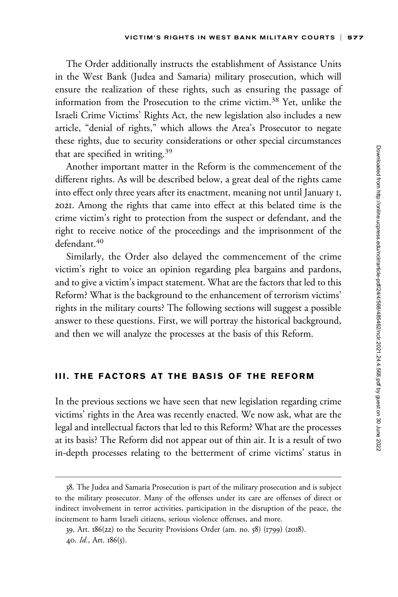The Order additionally instructs the establishment of Assistance Units in the West Bank (Judea and Samaria) military prosecution, which will ensure the realization of these rights, such as ensuring the passage of information from the Prosecution to the crime victim.38 Yet, unlike the Israeli Crime Victims' Rights Act, the new legislation also includes a new article, "denial of rights," which allows the Area's Prosecutor to negate these rights, due to security considerations or other special circumstances that are specified in writing.<sup>39</sup>

Another important matter in the Reform is the commencement of the different rights. As will be described below, a great deal of the rights came into effect only three years after its enactment, meaning not until January 1, 2021. Among the rights that came into effect at this belated time is the crime victim's right to protection from the suspect or defendant, and the right to receive notice of the proceedings and the imprisonment of the defendant.<sup>40</sup>

Similarly, the Order also delayed the commencement of the crime victim's right to voice an opinion regarding plea bargains and pardons, and to give a victim's impact statement. What are the factors that led to this Reform? What is the background to the enhancement of terrorism victims' rights in the military courts? The following sections will suggest a possible answer to these questions. First, we will portray the historical background, and then we will analyze the processes at the basis of this Reform.

### III. THE FACTORS AT THE BASIS OF THE REFORM

In the previous sections we have seen that new legislation regarding crime victims' rights in the Area was recently enacted. We now ask, what are the legal and intellectual factors that led to this Reform? What are the processes at its basis? The Reform did not appear out of thin air. It is a result of two in-depth processes relating to the betterment of crime victims' status in

<sup>38.</sup> The Judea and Samaria Prosecution is part of the military prosecution and is subject to the military prosecutor. Many of the offenses under its care are offenses of direct or indirect involvement in terror activities, participation in the disruption of the peace, the incitement to harm Israeli citizens, serious violence offenses, and more.

<sup>39.</sup> Art. 186(22) to the Security Provisions Order (am. no. 58) (1799) (2018). 40.  $Id.$ , Art.  $186(5)$ .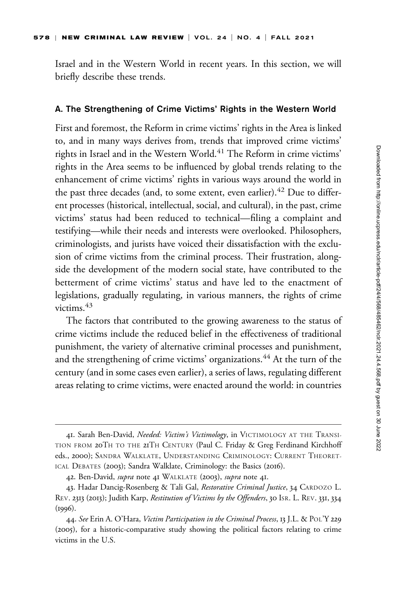Israel and in the Western World in recent years. In this section, we will briefly describe these trends.

#### A. The Strengthening of Crime Victims' Rights in the Western World

First and foremost, the Reform in crime victims' rights in the Area is linked to, and in many ways derives from, trends that improved crime victims' rights in Israel and in the Western World.<sup>41</sup> The Reform in crime victims' rights in the Area seems to be influenced by global trends relating to the enhancement of crime victims' rights in various ways around the world in the past three decades (and, to some extent, even earlier).  $42$  Due to different processes (historical, intellectual, social, and cultural), in the past, crime victims' status had been reduced to technical—filing a complaint and testifying—while their needs and interests were overlooked. Philosophers, criminologists, and jurists have voiced their dissatisfaction with the exclusion of crime victims from the criminal process. Their frustration, alongside the development of the modern social state, have contributed to the betterment of crime victims' status and have led to the enactment of legislations, gradually regulating, in various manners, the rights of crime victims.<sup>43</sup>

The factors that contributed to the growing awareness to the status of crime victims include the reduced belief in the effectiveness of traditional punishment, the variety of alternative criminal processes and punishment, and the strengthening of crime victims' organizations.<sup>44</sup> At the turn of the century (and in some cases even earlier), a series of laws, regulating different areas relating to crime victims, were enacted around the world: in countries

<sup>41.</sup> Sarah Ben-David, Needed: Victim's Victimology, in VICTIMOLOGY AT THE TRANSI-TION FROM 20TH TO THE 21TH CENTURY (Paul C. Friday & Greg Ferdinand Kirchhoff eds., 2000); SANDRA WALKLATE, UNDERSTANDING CRIMINOLOGY: CURRENT THEORET-ICAL DEBATES (2003); Sandra Walklate, Criminology: the Basics (2016).

<sup>42.</sup> Ben-David, *supra* note 41 WALKLATE (2003), *supra* note 41.

<sup>43.</sup> Hadar Dancig-Rosenberg & Tali Gal, Restorative Criminal Justice, 34 CARDOZO L. REV. 2313 (2013); Judith Karp, Restitution of Victims by the Offenders, 30 ISR. L. REV. 331, 334 (1996).

<sup>44.</sup> See Erin A. O'Hara, Victim Participation in the Criminal Process, 13 J.L. & POL'Y 229 (2005), for a historic-comparative study showing the political factors relating to crime victims in the U.S.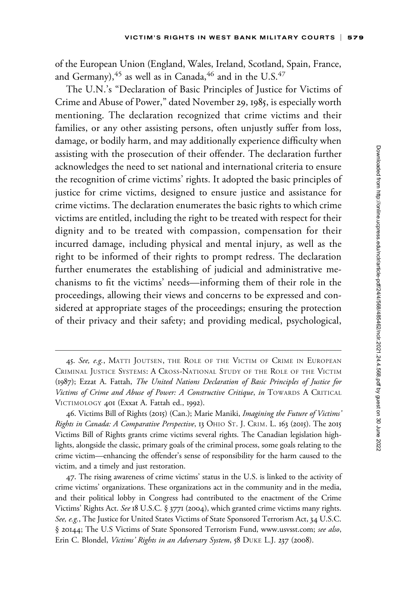of the European Union (England, Wales, Ireland, Scotland, Spain, France, and Germany),  $45$  as well as in Canada,  $46$  and in the U.S.  $47$ 

The U.N.'s "Declaration of Basic Principles of Justice for Victims of Crime and Abuse of Power," dated November 29, 1985, is especially worth mentioning. The declaration recognized that crime victims and their families, or any other assisting persons, often unjustly suffer from loss, damage, or bodily harm, and may additionally experience difficulty when assisting with the prosecution of their offender. The declaration further acknowledges the need to set national and international criteria to ensure the recognition of crime victims' rights. It adopted the basic principles of justice for crime victims, designed to ensure justice and assistance for crime victims. The declaration enumerates the basic rights to which crime victims are entitled, including the right to be treated with respect for their dignity and to be treated with compassion, compensation for their incurred damage, including physical and mental injury, as well as the right to be informed of their rights to prompt redress. The declaration further enumerates the establishing of judicial and administrative mechanisms to fit the victims' needs—informing them of their role in the proceedings, allowing their views and concerns to be expressed and considered at appropriate stages of the proceedings; ensuring the protection of their privacy and their safety; and providing medical, psychological,

<sup>45.</sup> See, e.g., MATTI JOUTSEN, THE ROLE OF THE VICTIM OF CRIME IN EUROPEAN CRIMINAL JUSTICE SYSTEMS: A CROSS-NATIONAL STUDY OF THE ROLE OF THE VICTIM (1987); Ezzat A. Fattah, The United Nations Declaration of Basic Principles of Justice for Victims of Crime and Abuse of Power: A Constructive Critique, in TOWARDS A CRITICAL VICTIMOLOGY 401 (Exxat A. Fattah ed., 1992).

<sup>46.</sup> Victims Bill of Rights (2015) (Can.); Marie Maniki, Imagining the Future of Victims' Rights in Canada: A Comparative Perspective, 13 OHIO ST. J. CRIM. L. 163 (2015). The 2015 Victims Bill of Rights grants crime victims several rights. The Canadian legislation highlights, alongside the classic, primary goals of the criminal process, some goals relating to the crime victim—enhancing the offender's sense of responsibility for the harm caused to the victim, and a timely and just restoration.

<sup>47.</sup> The rising awareness of crime victims' status in the U.S. is linked to the activity of crime victims' organizations. These organizations act in the community and in the media, and their political lobby in Congress had contributed to the enactment of the Crime Victims' Rights Act. See 18 U.S.C. § 3771 (2004), which granted crime victims many rights. See, e.g., The Justice for United States Victims of State Sponsored Terrorism Act, 34 U.S.C. § 20144; The U.S Victims of State Sponsored Terrorism Fund,<www.usvsst.com>; see also, Erin C. Blondel, Victims' Rights in an Adversary System, 58 DUKE L.J. 237 (2008).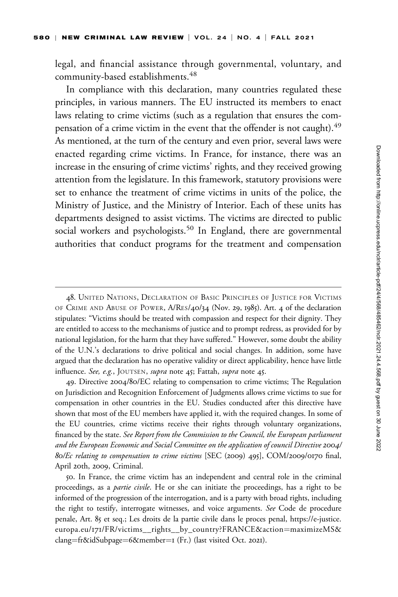legal, and financial assistance through governmental, voluntary, and community-based establishments.<sup>48</sup>

In compliance with this declaration, many countries regulated these principles, in various manners. The EU instructed its members to enact laws relating to crime victims (such as a regulation that ensures the compensation of a crime victim in the event that the offender is not caught).<sup>49</sup> As mentioned, at the turn of the century and even prior, several laws were enacted regarding crime victims. In France, for instance, there was an increase in the ensuring of crime victims' rights, and they received growing attention from the legislature. In this framework, statutory provisions were set to enhance the treatment of crime victims in units of the police, the Ministry of Justice, and the Ministry of Interior. Each of these units has departments designed to assist victims. The victims are directed to public social workers and psychologists.<sup>50</sup> In England, there are governmental authorities that conduct programs for the treatment and compensation

<sup>48.</sup> UNITED NATIONS, DECLARATION OF BASIC PRINCIPLES OF JUSTICE FOR VICTIMS OF CRIME AND ABUSE OF POWER, A/RES/40/34 (Nov. 29, 1985). Art. 4 of the declaration stipulates: "Victims should be treated with compassion and respect for their dignity. They are entitled to access to the mechanisms of justice and to prompt redress, as provided for by national legislation, for the harm that they have suffered." However, some doubt the ability of the U.N.'s declarations to drive political and social changes. In addition, some have argued that the declaration has no operative validity or direct applicability, hence have little influence. See, e.g., JOUTSEN, supra note 45; Fattah, supra note 45.

<sup>49.</sup> Directive 2004/80/EC relating to compensation to crime victims; The Regulation on Jurisdiction and Recognition Enforcement of Judgments allows crime victims to sue for compensation in other countries in the EU. Studies conducted after this directive have shown that most of the EU members have applied it, with the required changes. In some of the EU countries, crime victims receive their rights through voluntary organizations, financed by the state. See Report from the Commission to the Council, the European parliament and the European Economic and Social Committee on the application of council Directive 2004/ 80/Ec relating to compensation to crime victims [SEC (2009) 495], COM/2009/0170 final, April 20th, 2009, Criminal.

<sup>50.</sup> In France, the crime victim has an independent and central role in the criminal proceedings, as a partie civile. He or she can initiate the proceedings, has a right to be informed of the progression of the interrogation, and is a party with broad rights, including the right to testify, interrogate witnesses, and voice arguments. See Code de procedure penale, Art. 85 et seq.; Les droits de la partie civile dans le proces penal, [https://e-justice.](https://e-justice.europa.eu/171/FR/victims__rights__by_country?FRANCE&action=maximizeMS&clang=fr&idSubpage=6&member=1) europa.eu/171[/FR/victims\\_\\_rights\\_\\_by\\_country?FRANCE&action](https://e-justice.europa.eu/171/FR/victims__rights__by_country?FRANCE&action=maximizeMS&clang=fr&idSubpage=6&member=1)=[maximizeMS&](https://e-justice.europa.eu/171/FR/victims__rights__by_country?FRANCE&action=maximizeMS&clang=fr&idSubpage=6&member=1) [clang](https://e-justice.europa.eu/171/FR/victims__rights__by_country?FRANCE&action=maximizeMS&clang=fr&idSubpage=6&member=1)=[fr&idSubpage](https://e-justice.europa.eu/171/FR/victims__rights__by_country?FRANCE&action=maximizeMS&clang=fr&idSubpage=6&member=1)=6[&member](https://e-justice.europa.eu/171/FR/victims__rights__by_country?FRANCE&action=maximizeMS&clang=fr&idSubpage=6&member=1)=[1](https://e-justice.europa.eu/171/FR/victims__rights__by_country?FRANCE&action=maximizeMS&clang=fr&idSubpage=6&member=1) (Fr.) (last visited Oct. 2021).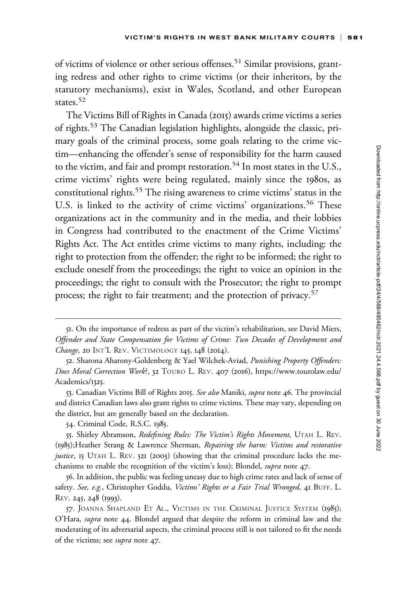of victims of violence or other serious offenses.<sup>51</sup> Similar provisions, granting redress and other rights to crime victims (or their inheritors, by the statutory mechanisms), exist in Wales, Scotland, and other European states.<sup>52</sup>

The Victims Bill of Rights in Canada (2015) awards crime victims a series of rights.<sup>53</sup> The Canadian legislation highlights, alongside the classic, primary goals of the criminal process, some goals relating to the crime victim—enhancing the offender's sense of responsibility for the harm caused to the victim, and fair and prompt restoration.<sup>54</sup> In most states in the U.S., crime victims' rights were being regulated, mainly since the 1980s, as constitutional rights.<sup>55</sup> The rising awareness to crime victims' status in the U.S. is linked to the activity of crime victims' organizations.<sup>56</sup> These organizations act in the community and in the media, and their lobbies in Congress had contributed to the enactment of the Crime Victims' Rights Act. The Act entitles crime victims to many rights, including: the right to protection from the offender; the right to be informed; the right to exclude oneself from the proceedings; the right to voice an opinion in the proceedings; the right to consult with the Prosecutor; the right to prompt process; the right to fair treatment; and the protection of privacy.<sup>57</sup>

<sup>51.</sup> On the importance of redress as part of the victim's rehabilitation, see David Miers, Offender and State Compensation for Victims of Crime: Two Decades of Development and Change, 20 INT'L REV. VICTIMOLOGY 145, 148 (2014).

<sup>52.</sup> Sharona Aharony-Goldenberg & Yael Wilchek-Aviad, Punishing Property Offenders: Does Moral Correction Work?, 32 TOURO L. REV. 407 (2016), [https://www.tourolaw.edu/](https://www.tourolaw.edu/Academics/1325) [Academics/](https://www.tourolaw.edu/Academics/1325)1325.

<sup>53.</sup> Canadian Victims Bill of Rights 2015. See also Maniki, supra note 46. The provincial and district Canadian laws also grant rights to crime victims. These may vary, depending on the district, but are generally based on the declaration.

<sup>54.</sup> Criminal Code, R.S.C. 1985.

<sup>55.</sup> Shirley Abramson, Redefining Rules: The Victim's Rights Movement, UTAH L. REV. (1985);Heather Strang & Lawrence Sherman, Repairing the harm: Victims and restorative justice, 15 UTAH L. REV. 521 (2003) (showing that the criminal procedure lacks the mechanisms to enable the recognition of the victim's loss); Blondel, supra note 47.

<sup>56.</sup> In addition, the public was feeling uneasy due to high crime rates and lack of sense of safety. See, e.g., Christopher Goddu, Victims' Rights or a Fair Trial Wronged, 41 BUFF. L. REV. 245, 248 (1993).

<sup>57.</sup> JOANNA SHAPLAND ET AL., VICTIMS IN THE CRIMINAL JUSTICE SYSTEM (1985); O'Hara, supra note 44. Blondel argued that despite the reform in criminal law and the moderating of its adversarial aspects, the criminal process still is not tailored to fit the needs of the victims; see supra note 47.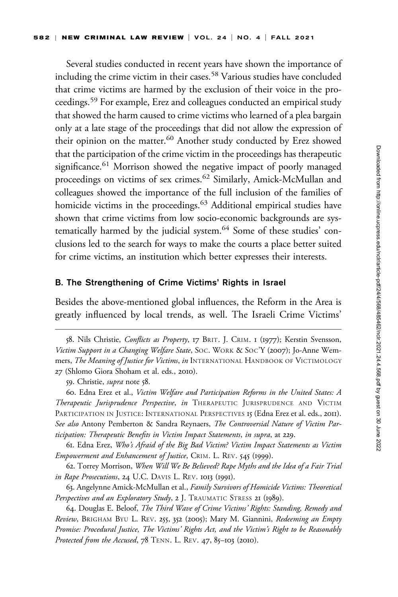Several studies conducted in recent years have shown the importance of including the crime victim in their cases.<sup>58</sup> Various studies have concluded that crime victims are harmed by the exclusion of their voice in the proceedings.<sup>59</sup> For example, Erez and colleagues conducted an empirical study that showed the harm caused to crime victims who learned of a plea bargain only at a late stage of the proceedings that did not allow the expression of their opinion on the matter.<sup>60</sup> Another study conducted by Erez showed that the participation of the crime victim in the proceedings has therapeutic significance.<sup>61</sup> Morrison showed the negative impact of poorly managed proceedings on victims of sex crimes.<sup>62</sup> Similarly, Amick-McMullan and colleagues showed the importance of the full inclusion of the families of homicide victims in the proceedings.<sup>63</sup> Additional empirical studies have shown that crime victims from low socio-economic backgrounds are systematically harmed by the judicial system.<sup>64</sup> Some of these studies' conclusions led to the search for ways to make the courts a place better suited for crime victims, an institution which better expresses their interests.

#### B. The Strengthening of Crime Victims' Rights in Israel

Besides the above-mentioned global influences, the Reform in the Area is greatly influenced by local trends, as well. The Israeli Crime Victims'

61. Edna Erez, Who's Afraid of the Big Bad Victim? Victim Impact Statements as Victim Empowerment and Enhancement of Justice, CRIM. L. REV. 545 (1999).

62. Torrey Morrison, When Will We Be Believed? Rape Myths and the Idea of a Fair Trial in Rape Prosecutions, 24 U.C. DAVIS L. REV. 1013 (1991).

63. Angelynne Amick-McMullan et al., Family Survivors of Homicide Victims: Theoretical Perspectives and an Exploratory Study, 2 J. TRAUMATIC STRESS 21 (1989).

64. Douglas E. Beloof, The Third Wave of Crime Victims' Rights: Standing, Remedy and Review, BRIGHAM BYU L. REV. 255, 352 (2005); Mary M. Giannini, Redeeming an Empty Promise: Procedural Justice, The Victims' Rights Act, and the Victim's Right to be Reasonably Protected from the Accused, 78 TENN. L. REV. 47, 85-103 (2010).

<sup>58.</sup> Nils Christie, Conflicts as Property, 17 BRIT. J. CRIM. 1 (1977); Kerstin Svensson, Victim Support in a Changing Welfare State, SOC. WORK & SOC'Y (2007); Jo-Anne Wemmers, The Meaning of Justice for Victims, in INTERNATIONAL HANDBOOK OF VICTIMOLOGY 27 (Shlomo Giora Shoham et al. eds., 2010).

<sup>59.</sup> Christie, *supra* note 58.

<sup>60.</sup> Edna Erez et al., Victim Welfare and Participation Reforms in the United States: A Therapeutic Jurisprudence Perspective, in THERAPEUTIC JURISPRUDENCE AND VICTIM PARTICIPATION IN JUSTICE: INTERNATIONAL PERSPECTIVES 15 (Edna Erez et al. eds., 2011). See also Antony Pemberton & Sandra Reynaers, The Controversial Nature of Victim Participation: Therapeutic Benefits in Victim Impact Statements, in supra, at 229.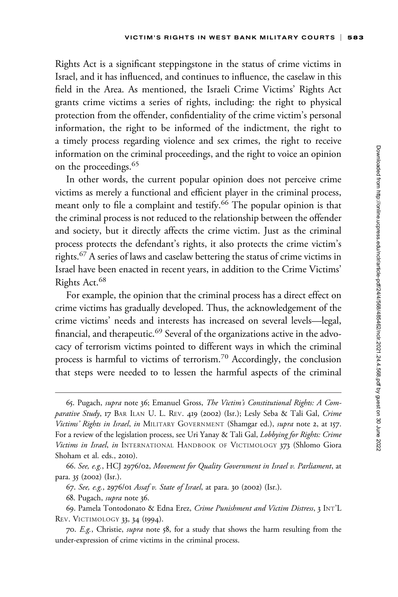Rights Act is a significant steppingstone in the status of crime victims in Israel, and it has influenced, and continues to influence, the caselaw in this field in the Area. As mentioned, the Israeli Crime Victims' Rights Act grants crime victims a series of rights, including: the right to physical protection from the offender, confidentiality of the crime victim's personal information, the right to be informed of the indictment, the right to a timely process regarding violence and sex crimes, the right to receive information on the criminal proceedings, and the right to voice an opinion on the proceedings.<sup>65</sup>

In other words, the current popular opinion does not perceive crime victims as merely a functional and efficient player in the criminal process, meant only to file a complaint and testify.<sup>66</sup> The popular opinion is that the criminal process is not reduced to the relationship between the offender and society, but it directly affects the crime victim. Just as the criminal process protects the defendant's rights, it also protects the crime victim's rights.<sup>67</sup> A series of laws and caselaw bettering the status of crime victims in Israel have been enacted in recent years, in addition to the Crime Victims' Rights Act.<sup>68</sup>

For example, the opinion that the criminal process has a direct effect on crime victims has gradually developed. Thus, the acknowledgement of the crime victims' needs and interests has increased on several levels—legal, financial, and therapeutic.<sup>69</sup> Several of the organizations active in the advocacy of terrorism victims pointed to different ways in which the criminal process is harmful to victims of terrorism.<sup>70</sup> Accordingly, the conclusion that steps were needed to to lessen the harmful aspects of the criminal

<sup>65.</sup> Pugach, supra note 36; Emanuel Gross, The Victim's Constitutional Rights: A Comparative Study, 17 BAR ILAN U. L. REV. 419 (2002) (Isr.); Lesly Seba & Tali Gal, Crime Victims' Rights in Israel, in MILITARY GOVERNMENT (Shamgar ed.), supra note 2, at 157. For a review of the legislation process, see Uri Yanay & Tali Gal, Lobbying for Rights: Crime Victims in Israel, in INTERNATIONAL HANDBOOK OF VICTIMOLOGY 373 (Shlomo Giora Shoham et al. eds., 2010).

<sup>66.</sup> See, e.g., HCJ 2976/02, Movement for Quality Government in Israel v. Parliament, at para. 35 (2002) (Isr.).

<sup>67.</sup> See, e.g., 2976/01 Assaf v. State of Israel, at para. 30 (2002) (Isr.).

<sup>68.</sup> Pugach, *supra* note 36.

<sup>69.</sup> Pamela Tontodonato & Edna Erez, Crime Punishment and Victim Distress, 3 INT'L REV. VICTIMOLOGY 33, 34 (1994).

<sup>70.</sup> E.g., Christie, supra note 58, for a study that shows the harm resulting from the under-expression of crime victims in the criminal process.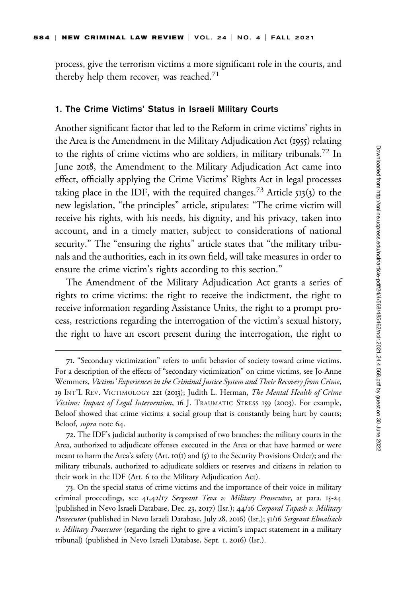process, give the terrorism victims a more significant role in the courts, and thereby help them recover, was reached.<sup>71</sup>

#### 1. The Crime Victims' Status in Israeli Military Courts

Another significant factor that led to the Reform in crime victims' rights in the Area is the Amendment in the Military Adjudication Act (1955) relating to the rights of crime victims who are soldiers, in military tribunals.<sup>72</sup> In June 2018, the Amendment to the Military Adjudication Act came into effect, officially applying the Crime Victims' Rights Act in legal processes taking place in the IDF, with the required changes.<sup>73</sup> Article  $513(3)$  to the new legislation, "the principles" article, stipulates: "The crime victim will receive his rights, with his needs, his dignity, and his privacy, taken into account, and in a timely matter, subject to considerations of national security." The "ensuring the rights" article states that "the military tribunals and the authorities, each in its own field, will take measures in order to ensure the crime victim's rights according to this section."

The Amendment of the Military Adjudication Act grants a series of rights to crime victims: the right to receive the indictment, the right to receive information regarding Assistance Units, the right to a prompt process, restrictions regarding the interrogation of the victim's sexual history, the right to have an escort present during the interrogation, the right to

<sup>71.</sup> "Secondary victimization" refers to unfit behavior of society toward crime victims. For a description of the effects of "secondary victimization" on crime victims, see Jo-Anne Wemmers, Victims' Experiences in the Criminal Justice System and Their Recovery from Crime, 19 INT'L REV. VICTIMOLOGY 221 (2013); Judith L. Herman, The Mental Health of Crime Victims: Impact of Legal Intervention, 16 J. TRAUMATIC STRESS 159 (2003). For example, Beloof showed that crime victims a social group that is constantly being hurt by courts; Beloof, supra note 64.

<sup>72.</sup> The IDF's judicial authority is comprised of two branches: the military courts in the Area, authorized to adjudicate offenses executed in the Area or that have harmed or were meant to harm the Area's safety (Art. 10(1) and (5) to the Security Provisions Order); and the military tribunals, authorized to adjudicate soldiers or reserves and citizens in relation to their work in the IDF (Art. 6 to the Military Adjudication Act).

<sup>73.</sup> On the special status of crime victims and the importance of their voice in military criminal proceedings, see 41,42/17 Sergeant Teva v. Military Prosecutor, at para. 15-24 (published in Nevo Israeli Database, Dec. 23, 2017) (Isr.); 44/16 Corporal Tapash v. Military Prosecutor (published in Nevo Israeli Database, July 28, 2016) (Isr.); 51/16 Sergeant Elmaliach v. Military Prosecutor (regarding the right to give a victim's impact statement in a military tribunal) (published in Nevo Israeli Database, Sept. 1, 2016) (Isr.).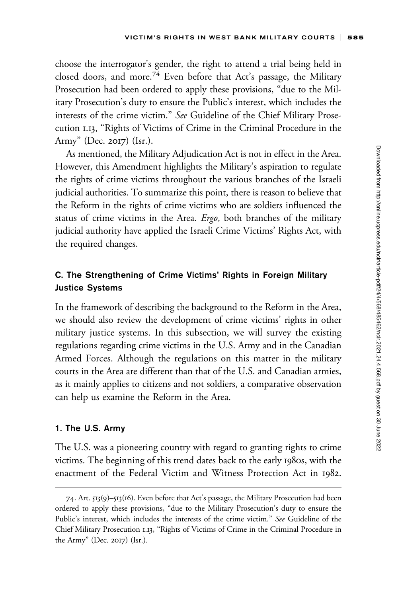choose the interrogator's gender, the right to attend a trial being held in closed doors, and more.<sup>74</sup> Even before that Act's passage, the Military Prosecution had been ordered to apply these provisions, "due to the Military Prosecution's duty to ensure the Public's interest, which includes the interests of the crime victim." See Guideline of the Chief Military Prosecution 1.13, "Rights of Victims of Crime in the Criminal Procedure in the Army" (Dec. 2017) (Isr.).

As mentioned, the Military Adjudication Act is not in effect in the Area. However, this Amendment highlights the Military's aspiration to regulate the rights of crime victims throughout the various branches of the Israeli judicial authorities. To summarize this point, there is reason to believe that the Reform in the rights of crime victims who are soldiers influenced the status of crime victims in the Area. Ergo, both branches of the military judicial authority have applied the Israeli Crime Victims' Rights Act, with the required changes.

### C. The Strengthening of Crime Victims' Rights in Foreign Military Justice Systems

In the framework of describing the background to the Reform in the Area, we should also review the development of crime victims' rights in other military justice systems. In this subsection, we will survey the existing regulations regarding crime victims in the U.S. Army and in the Canadian Armed Forces. Although the regulations on this matter in the military courts in the Area are different than that of the U.S. and Canadian armies, as it mainly applies to citizens and not soldiers, a comparative observation can help us examine the Reform in the Area.

#### 1. The U.S. Army

The U.S. was a pioneering country with regard to granting rights to crime victims. The beginning of this trend dates back to the early 1980s, with the enactment of the Federal Victim and Witness Protection Act in 1982.

<sup>74.</sup> Art. 513(9)–513(16). Even before that Act's passage, the Military Prosecution had been ordered to apply these provisions, "due to the Military Prosecution's duty to ensure the Public's interest, which includes the interests of the crime victim." See Guideline of the Chief Military Prosecution 1.13, "Rights of Victims of Crime in the Criminal Procedure in the Army" (Dec. 2017) (Isr.).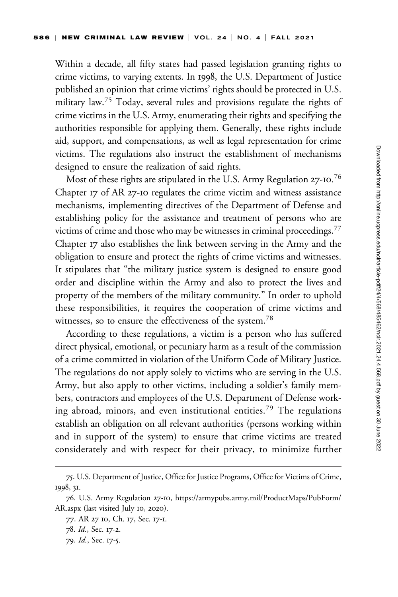Within a decade, all fifty states had passed legislation granting rights to crime victims, to varying extents. In 1998, the U.S. Department of Justice published an opinion that crime victims' rights should be protected in U.S. military law.<sup>75</sup> Today, several rules and provisions regulate the rights of crime victims in the U.S. Army, enumerating their rights and specifying the authorities responsible for applying them. Generally, these rights include aid, support, and compensations, as well as legal representation for crime victims. The regulations also instruct the establishment of mechanisms designed to ensure the realization of said rights.

Most of these rights are stipulated in the U.S. Army Regulation 27-10. $^{76}$ Chapter 17 of AR 27-10 regulates the crime victim and witness assistance mechanisms, implementing directives of the Department of Defense and establishing policy for the assistance and treatment of persons who are victims of crime and those who may be witnesses in criminal proceedings.<sup>77</sup> Chapter 17 also establishes the link between serving in the Army and the obligation to ensure and protect the rights of crime victims and witnesses. It stipulates that "the military justice system is designed to ensure good order and discipline within the Army and also to protect the lives and property of the members of the military community." In order to uphold these responsibilities, it requires the cooperation of crime victims and witnesses, so to ensure the effectiveness of the system.<sup>78</sup>

According to these regulations, a victim is a person who has suffered direct physical, emotional, or pecuniary harm as a result of the commission of a crime committed in violation of the Uniform Code of Military Justice. The regulations do not apply solely to victims who are serving in the U.S. Army, but also apply to other victims, including a soldier's family members, contractors and employees of the U.S. Department of Defense working abroad, minors, and even institutional entities.<sup>79</sup> The regulations establish an obligation on all relevant authorities (persons working within and in support of the system) to ensure that crime victims are treated considerately and with respect for their privacy, to minimize further

<sup>75.</sup> U.S. Department of Justice, Office for Justice Programs, Office for Victims of Crime, 1998, 31.

<sup>76.</sup> U.S. Army Regulation 27-10, [https://armypubs.army.mil/ProductMaps/PubForm/](https://armypubs.army.mil/ProductMaps/PubForm/AR.aspx) [AR.aspx](https://armypubs.army.mil/ProductMaps/PubForm/AR.aspx) (last visited July 10, 2020).

<sup>77.</sup> AR 27 10, Ch. 17, Sec. 17-1.

<sup>78.</sup> Id., Sec. 17-2.

<sup>79.</sup> Id., Sec. 17-5.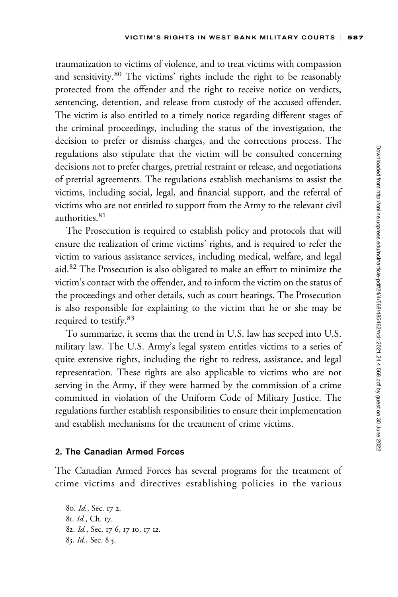traumatization to victims of violence, and to treat victims with compassion and sensitivity.<sup>80</sup> The victims' rights include the right to be reasonably protected from the offender and the right to receive notice on verdicts, sentencing, detention, and release from custody of the accused offender. The victim is also entitled to a timely notice regarding different stages of the criminal proceedings, including the status of the investigation, the decision to prefer or dismiss charges, and the corrections process. The regulations also stipulate that the victim will be consulted concerning decisions not to prefer charges, pretrial restraint or release, and negotiations of pretrial agreements. The regulations establish mechanisms to assist the victims, including social, legal, and financial support, and the referral of victims who are not entitled to support from the Army to the relevant civil authorities.<sup>81</sup>

The Prosecution is required to establish policy and protocols that will ensure the realization of crime victims' rights, and is required to refer the victim to various assistance services, including medical, welfare, and legal aid.<sup>82</sup> The Prosecution is also obligated to make an effort to minimize the victim's contact with the offender, and to inform the victim on the status of the proceedings and other details, such as court hearings. The Prosecution is also responsible for explaining to the victim that he or she may be required to testify.<sup>83</sup>

To summarize, it seems that the trend in U.S. law has seeped into U.S. military law. The U.S. Army's legal system entitles victims to a series of quite extensive rights, including the right to redress, assistance, and legal representation. These rights are also applicable to victims who are not serving in the Army, if they were harmed by the commission of a crime committed in violation of the Uniform Code of Military Justice. The regulations further establish responsibilities to ensure their implementation and establish mechanisms for the treatment of crime victims.

#### 2. The Canadian Armed Forces

The Canadian Armed Forces has several programs for the treatment of crime victims and directives establishing policies in the various

<sup>80.</sup> Id., Sec. 17 2.

<sup>81.</sup> Id., Ch. 17.

<sup>82.</sup> Id., Sec. 17 6, 17 10, 17 12.

<sup>83.</sup> Id., Sec. 8 5.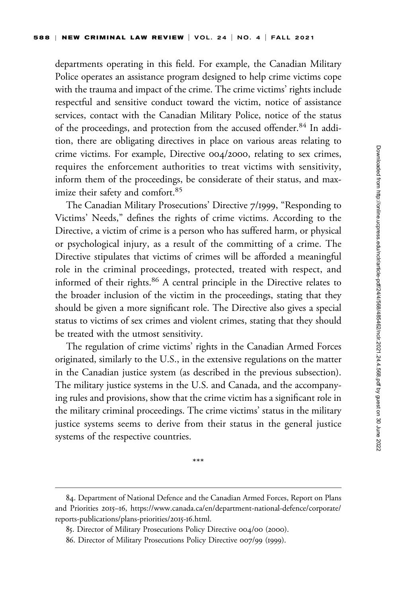departments operating in this field. For example, the Canadian Military Police operates an assistance program designed to help crime victims cope with the trauma and impact of the crime. The crime victims' rights include respectful and sensitive conduct toward the victim, notice of assistance services, contact with the Canadian Military Police, notice of the status of the proceedings, and protection from the accused offender.<sup>84</sup> In addition, there are obligating directives in place on various areas relating to crime victims. For example, Directive 004/2000, relating to sex crimes, requires the enforcement authorities to treat victims with sensitivity, inform them of the proceedings, be considerate of their status, and maximize their safety and comfort.<sup>85</sup>

The Canadian Military Prosecutions' Directive 7/1999, "Responding to Victims' Needs," defines the rights of crime victims. According to the Directive, a victim of crime is a person who has suffered harm, or physical or psychological injury, as a result of the committing of a crime. The Directive stipulates that victims of crimes will be afforded a meaningful role in the criminal proceedings, protected, treated with respect, and informed of their rights.<sup>86</sup> A central principle in the Directive relates to the broader inclusion of the victim in the proceedings, stating that they should be given a more significant role. The Directive also gives a special status to victims of sex crimes and violent crimes, stating that they should be treated with the utmost sensitivity.

The regulation of crime victims' rights in the Canadian Armed Forces originated, similarly to the U.S., in the extensive regulations on the matter in the Canadian justice system (as described in the previous subsection). The military justice systems in the U.S. and Canada, and the accompanying rules and provisions, show that the crime victim has a significant role in the military criminal proceedings. The crime victims' status in the military justice systems seems to derive from their status in the general justice systems of the respective countries.

\*\*\*

<sup>84.</sup> Department of National Defence and the Canadian Armed Forces, Report on Plans and Priorities 2015–16, [https://www.canada.ca/en/department-national-defence/corporate/](https://www.canada.ca/en/department-national-defence/corporate/reports-publications/plans-priorities/2015-16.html) [reports-publications/plans-priorities/](https://www.canada.ca/en/department-national-defence/corporate/reports-publications/plans-priorities/2015-16.html)2015-16.html.

<sup>85.</sup> Director of Military Prosecutions Policy Directive 004/00 (2000).

<sup>86.</sup> Director of Military Prosecutions Policy Directive 007/99 (1999).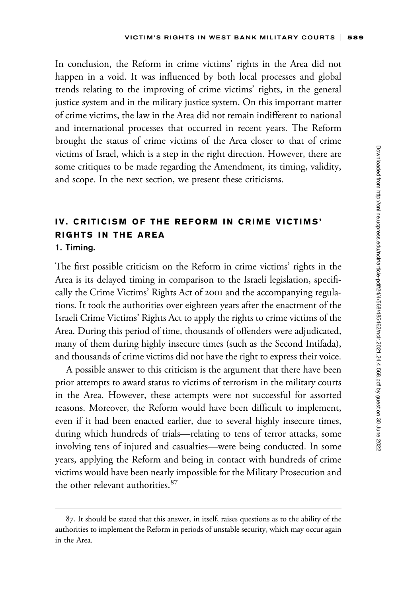In conclusion, the Reform in crime victims' rights in the Area did not happen in a void. It was influenced by both local processes and global trends relating to the improving of crime victims' rights, in the general justice system and in the military justice system. On this important matter of crime victims, the law in the Area did not remain indifferent to national and international processes that occurred in recent years. The Reform brought the status of crime victims of the Area closer to that of crime victims of Israel, which is a step in the right direction. However, there are some critiques to be made regarding the Amendment, its timing, validity, and scope. In the next section, we present these criticisms.

# IV. CRITICISM OF THE REFORM IN CRIME VICTIMS' RIGHTS IN THE AREA 1. Timing.

The first possible criticism on the Reform in crime victims' rights in the Area is its delayed timing in comparison to the Israeli legislation, specifically the Crime Victims' Rights Act of 2001 and the accompanying regulations. It took the authorities over eighteen years after the enactment of the Israeli Crime Victims' Rights Act to apply the rights to crime victims of the Area. During this period of time, thousands of offenders were adjudicated, many of them during highly insecure times (such as the Second Intifada), and thousands of crime victims did not have the right to express their voice.

A possible answer to this criticism is the argument that there have been prior attempts to award status to victims of terrorism in the military courts in the Area. However, these attempts were not successful for assorted reasons. Moreover, the Reform would have been difficult to implement, even if it had been enacted earlier, due to several highly insecure times, during which hundreds of trials—relating to tens of terror attacks, some involving tens of injured and casualties—were being conducted. In some years, applying the Reform and being in contact with hundreds of crime victims would have been nearly impossible for the Military Prosecution and the other relevant authorities.<sup>87</sup>

<sup>87.</sup> It should be stated that this answer, in itself, raises questions as to the ability of the authorities to implement the Reform in periods of unstable security, which may occur again in the Area.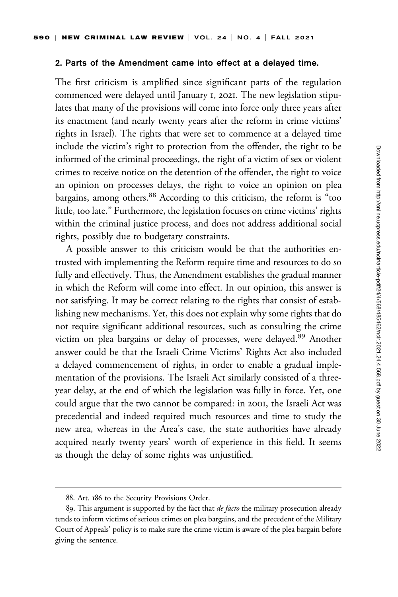#### 2. Parts of the Amendment came into effect at a delayed time.

The first criticism is amplified since significant parts of the regulation commenced were delayed until January 1, 2021. The new legislation stipulates that many of the provisions will come into force only three years after its enactment (and nearly twenty years after the reform in crime victims' rights in Israel). The rights that were set to commence at a delayed time include the victim's right to protection from the offender, the right to be informed of the criminal proceedings, the right of a victim of sex or violent crimes to receive notice on the detention of the offender, the right to voice an opinion on processes delays, the right to voice an opinion on plea bargains, among others.<sup>88</sup> According to this criticism, the reform is "too little, too late." Furthermore, the legislation focuses on crime victims' rights within the criminal justice process, and does not address additional social rights, possibly due to budgetary constraints.

A possible answer to this criticism would be that the authorities entrusted with implementing the Reform require time and resources to do so fully and effectively. Thus, the Amendment establishes the gradual manner in which the Reform will come into effect. In our opinion, this answer is not satisfying. It may be correct relating to the rights that consist of establishing new mechanisms. Yet, this does not explain why some rights that do not require significant additional resources, such as consulting the crime victim on plea bargains or delay of processes, were delayed.<sup>89</sup> Another answer could be that the Israeli Crime Victims' Rights Act also included a delayed commencement of rights, in order to enable a gradual implementation of the provisions. The Israeli Act similarly consisted of a threeyear delay, at the end of which the legislation was fully in force. Yet, one could argue that the two cannot be compared: in 2001, the Israeli Act was precedential and indeed required much resources and time to study the new area, whereas in the Area's case, the state authorities have already acquired nearly twenty years' worth of experience in this field. It seems as though the delay of some rights was unjustified.

<sup>88.</sup> Art. 186 to the Security Provisions Order.

<sup>89.</sup> This argument is supported by the fact that *de facto* the military prosecution already tends to inform victims of serious crimes on plea bargains, and the precedent of the Military Court of Appeals' policy is to make sure the crime victim is aware of the plea bargain before giving the sentence.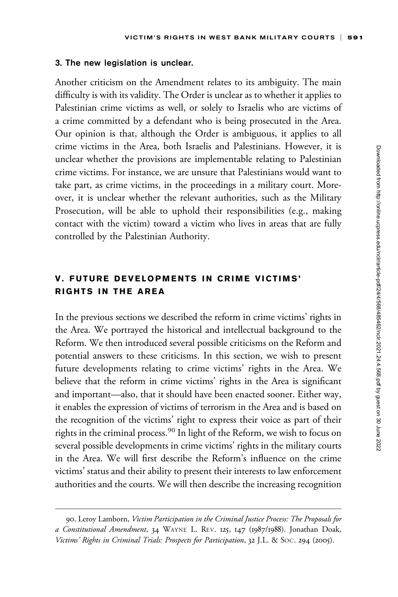#### 3. The new legislation is unclear.

Another criticism on the Amendment relates to its ambiguity. The main difficulty is with its validity. The Order is unclear as to whether it applies to Palestinian crime victims as well, or solely to Israelis who are victims of a crime committed by a defendant who is being prosecuted in the Area. Our opinion is that, although the Order is ambiguous, it applies to all crime victims in the Area, both Israelis and Palestinians. However, it is unclear whether the provisions are implementable relating to Palestinian crime victims. For instance, we are unsure that Palestinians would want to take part, as crime victims, in the proceedings in a military court. Moreover, it is unclear whether the relevant authorities, such as the Military Prosecution, will be able to uphold their responsibilities (e.g., making contact with the victim) toward a victim who lives in areas that are fully controlled by the Palestinian Authority.

# V. FUTURE DEVELOPMENTS IN CRIME VICTIMS' RIGHTS IN THE AREA

In the previous sections we described the reform in crime victims' rights in the Area. We portrayed the historical and intellectual background to the Reform. We then introduced several possible criticisms on the Reform and potential answers to these criticisms. In this section, we wish to present future developments relating to crime victims' rights in the Area. We believe that the reform in crime victims' rights in the Area is significant and important—also, that it should have been enacted sooner. Either way, it enables the expression of victims of terrorism in the Area and is based on the recognition of the victims' right to express their voice as part of their rights in the criminal process.<sup>90</sup> In light of the Reform, we wish to focus on several possible developments in crime victims' rights in the military courts in the Area. We will first describe the Reform's influence on the crime victims' status and their ability to present their interests to law enforcement authorities and the courts. We will then describe the increasing recognition

<sup>90.</sup> Leroy Lamborn, Victim Participation in the Criminal Justice Process: The Proposals for a Constitutional Amendment, 34 WAYNE L. REV. 125, 147 (1987/1988). Jonathan Doak, Victims' Rights in Criminal Trials: Prospects for Participation, 32 J.L. & SOC. 294 (2005).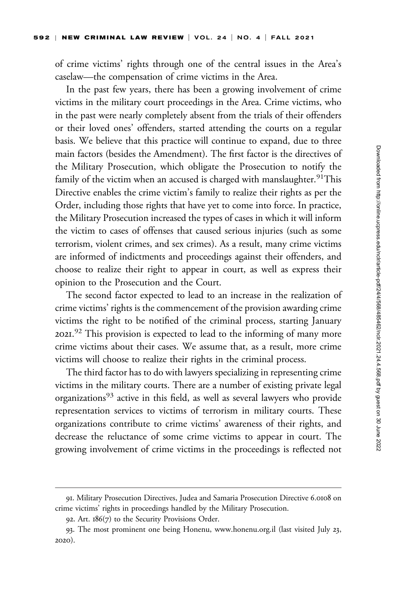of crime victims' rights through one of the central issues in the Area's caselaw—the compensation of crime victims in the Area.

In the past few years, there has been a growing involvement of crime victims in the military court proceedings in the Area. Crime victims, who in the past were nearly completely absent from the trials of their offenders or their loved ones' offenders, started attending the courts on a regular basis. We believe that this practice will continue to expand, due to three main factors (besides the Amendment). The first factor is the directives of the Military Prosecution, which obligate the Prosecution to notify the family of the victim when an accused is charged with manslaughter.  $91$ This Directive enables the crime victim's family to realize their rights as per the Order, including those rights that have yet to come into force. In practice, the Military Prosecution increased the types of cases in which it will inform the victim to cases of offenses that caused serious injuries (such as some terrorism, violent crimes, and sex crimes). As a result, many crime victims are informed of indictments and proceedings against their offenders, and choose to realize their right to appear in court, as well as express their opinion to the Prosecution and the Court.

The second factor expected to lead to an increase in the realization of crime victims' rights is the commencement of the provision awarding crime victims the right to be notified of the criminal process, starting January 2021.<sup>92</sup> This provision is expected to lead to the informing of many more crime victims about their cases. We assume that, as a result, more crime victims will choose to realize their rights in the criminal process.

The third factor has to do with lawyers specializing in representing crime victims in the military courts. There are a number of existing private legal organizations<sup>93</sup> active in this field, as well as several lawyers who provide representation services to victims of terrorism in military courts. These organizations contribute to crime victims' awareness of their rights, and decrease the reluctance of some crime victims to appear in court. The growing involvement of crime victims in the proceedings is reflected not

<sup>91.</sup> Military Prosecution Directives, Judea and Samaria Prosecution Directive 6.0108 on crime victims' rights in proceedings handled by the Military Prosecution.

<sup>92.</sup> Art. 186(7) to the Security Provisions Order.

<sup>93.</sup> The most prominent one being Honenu,<www.honenu.org.il> (last visited July 23, 2020).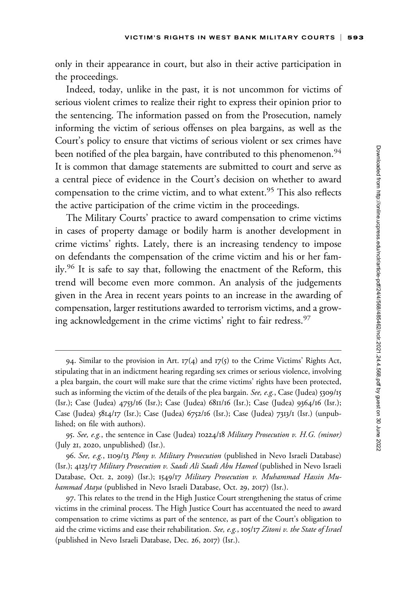only in their appearance in court, but also in their active participation in the proceedings.

Indeed, today, unlike in the past, it is not uncommon for victims of serious violent crimes to realize their right to express their opinion prior to the sentencing. The information passed on from the Prosecution, namely informing the victim of serious offenses on plea bargains, as well as the Court's policy to ensure that victims of serious violent or sex crimes have been notified of the plea bargain, have contributed to this phenomenon.<sup>94</sup> It is common that damage statements are submitted to court and serve as a central piece of evidence in the Court's decision on whether to award compensation to the crime victim, and to what extent.<sup>95</sup> This also reflects the active participation of the crime victim in the proceedings.

The Military Courts' practice to award compensation to crime victims in cases of property damage or bodily harm is another development in crime victims' rights. Lately, there is an increasing tendency to impose on defendants the compensation of the crime victim and his or her family.<sup>96</sup> It is safe to say that, following the enactment of the Reform, this trend will become even more common. An analysis of the judgements given in the Area in recent years points to an increase in the awarding of compensation, larger restitutions awarded to terrorism victims, and a growing acknowledgement in the crime victims' right to fair redress.<sup>97</sup>

<sup>94.</sup> Similar to the provision in Art.  $17(4)$  and  $17(5)$  to the Crime Victims' Rights Act, stipulating that in an indictment hearing regarding sex crimes or serious violence, involving a plea bargain, the court will make sure that the crime victims' rights have been protected, such as informing the victim of the details of the plea bargain. See, e.g., Case (Judea)  $5309/15$ (Isr.); Case (Judea) 4753/16 (Isr.); Case (Judea) 6811/16 (Isr.); Case (Judea) 9364/16 (Isr.); Case (Judea) 5814/17 (Isr.); Case (Judea) 6752/16 (Isr.); Case (Judea) 7313/1 (Isr.) (unpublished; on file with authors).

<sup>95.</sup> See, e.g., the sentence in Case (Judea) 10224/18 Military Prosecution v. H.G. (minor) (July 21, 2020, unpublished) (Isr.).

<sup>96.</sup> See, e.g., 1109/13 Plony v. Military Prosecution (published in Nevo Israeli Database) (Isr.); 4123/17 Military Prosecution v. Saadi Ali Saadi Abu Hamed (published in Nevo Israeli Database, Oct. 2, 2019) (Isr.); 1549/17 Military Prosecution v. Muhammad Hassin Muhammad Ataya (published in Nevo Israeli Database, Oct. 29, 2017) (Isr.).

<sup>97.</sup> This relates to the trend in the High Justice Court strengthening the status of crime victims in the criminal process. The High Justice Court has accentuated the need to award compensation to crime victims as part of the sentence, as part of the Court's obligation to aid the crime victims and ease their rehabilitation. See, e.g., 105/17 Zitoni v. the State of Israel (published in Nevo Israeli Database, Dec. 26, 2017) (Isr.).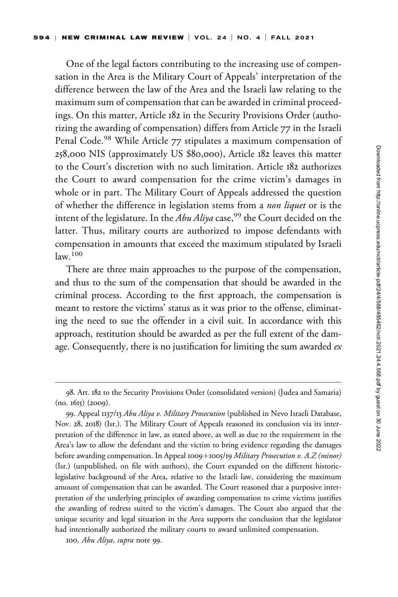One of the legal factors contributing to the increasing use of compensation in the Area is the Military Court of Appeals' interpretation of the difference between the law of the Area and the Israeli law relating to the maximum sum of compensation that can be awarded in criminal proceedings. On this matter, Article 182 in the Security Provisions Order (authorizing the awarding of compensation) differs from Article 77 in the Israeli Penal Code.<sup>98</sup> While Article 77 stipulates a maximum compensation of 258,000 NIS (approximately US \$80,000), Article 182 leaves this matter to the Court's discretion with no such limitation. Article 182 authorizes the Court to award compensation for the crime victim's damages in whole or in part. The Military Court of Appeals addressed the question of whether the difference in legislation stems from a non liquet or is the intent of the legislature. In the  $Abu$  Aliya case,<sup>99</sup> the Court decided on the latter. Thus, military courts are authorized to impose defendants with compensation in amounts that exceed the maximum stipulated by Israeli  $law<sup>100</sup>$ 

There are three main approaches to the purpose of the compensation, and thus to the sum of the compensation that should be awarded in the criminal process. According to the first approach, the compensation is meant to restore the victims' status as it was prior to the offense, eliminating the need to sue the offender in a civil suit. In accordance with this approach, restitution should be awarded as per the full extent of the damage. Consequently, there is no justification for limiting the sum awarded  $ex$ 

<sup>98.</sup> Art. 182 to the Security Provisions Order (consolidated version) (Judea and Samaria) (no. 1615) (2009).

<sup>99.</sup> Appeal 1137/13 Abu Aliya v. Military Prosecution (published in Nevo Israeli Database, Nov. 28, 2018) (Isr.). The Military Court of Appeals reasoned its conclusion via its interpretation of the difference in law, as stated above, as well as due to the requirement in the Area's law to allow the defendant and the victim to bring evidence regarding the damages before awarding compensation. In Appeal 1009+1005/19 Military Prosecution v. A.Z (minor) (Isr.) (unpublished, on file with authors), the Court expanded on the different historiclegislative background of the Area, relative to the Israeli law, considering the maximum amount of compensation that can be awarded. The Court reasoned that a purposive interpretation of the underlying principles of awarding compensation to crime victims justifies the awarding of redress suited to the victim's damages. The Court also argued that the unique security and legal situation in the Area supports the conclusion that the legislator had intentionally authorized the military courts to award unlimited compensation.

<sup>100.</sup> Abu Aliya, supra note 99.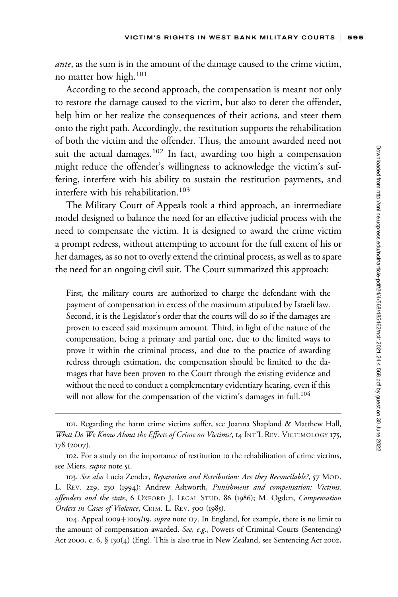*ante*, as the sum is in the amount of the damage caused to the crime victim, no matter how high.<sup>101</sup>

According to the second approach, the compensation is meant not only to restore the damage caused to the victim, but also to deter the offender, help him or her realize the consequences of their actions, and steer them onto the right path. Accordingly, the restitution supports the rehabilitation of both the victim and the offender. Thus, the amount awarded need not suit the actual damages.<sup>102</sup> In fact, awarding too high a compensation might reduce the offender's willingness to acknowledge the victim's suffering, interfere with his ability to sustain the restitution payments, and interfere with his rehabilitation.<sup>103</sup>

The Military Court of Appeals took a third approach, an intermediate model designed to balance the need for an effective judicial process with the need to compensate the victim. It is designed to award the crime victim a prompt redress, without attempting to account for the full extent of his or her damages, as so not to overly extend the criminal process, as well as to spare the need for an ongoing civil suit. The Court summarized this approach:

First, the military courts are authorized to charge the defendant with the payment of compensation in excess of the maximum stipulated by Israeli law. Second, it is the Legislator's order that the courts will do so if the damages are proven to exceed said maximum amount. Third, in light of the nature of the compensation, being a primary and partial one, due to the limited ways to prove it within the criminal process, and due to the practice of awarding redress through estimation, the compensation should be limited to the damages that have been proven to the Court through the existing evidence and without the need to conduct a complementary evidentiary hearing, even if this will not allow for the compensation of the victim's damages in full.<sup>104</sup>

103. See also Lucia Zender, Reparation and Retribution: Are they Reconcilable?, 57 MOD. L. REV. 229, 230 (1994); Andrew Ashworth, Punishment and compensation: Victims, offenders and the state, 6 OXFORD J. LEGAL STUD. 86 (1986); M. Ogden, Compensation Orders in Cases of Violence, CRIM. L. REV. 500 (1985).

104. Appeal 1009+1005/19, *supra* note 117. In England, for example, there is no limit to the amount of compensation awarded. See, e.g., Powers of Criminal Courts (Sentencing) Act 2000, c. 6, § 130(4) (Eng). This is also true in New Zealand, see Sentencing Act 2002,

<sup>101.</sup> Regarding the harm crime victims suffer, see Joanna Shapland & Matthew Hall, What Do We Know About the Effects of Crime on Victims?, 14 INT'L REV. VICTIMOLOGY 175, 178 (2007).

<sup>102.</sup> For a study on the importance of restitution to the rehabilitation of crime victims, see Miers, supra note 51.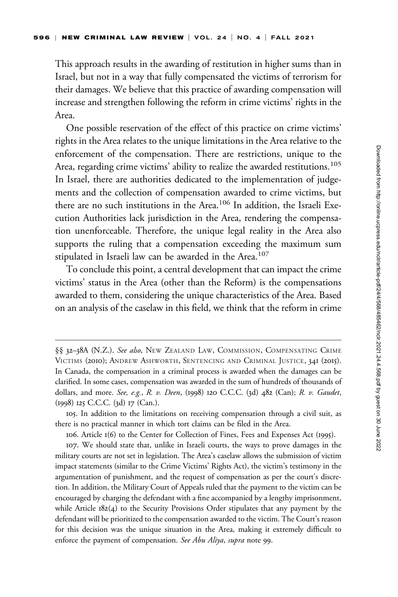This approach results in the awarding of restitution in higher sums than in Israel, but not in a way that fully compensated the victims of terrorism for their damages. We believe that this practice of awarding compensation will increase and strengthen following the reform in crime victims' rights in the Area.

One possible reservation of the effect of this practice on crime victims' rights in the Area relates to the unique limitations in the Area relative to the enforcement of the compensation. There are restrictions, unique to the Area, regarding crime victims' ability to realize the awarded restitutions.<sup>105</sup> In Israel, there are authorities dedicated to the implementation of judgements and the collection of compensation awarded to crime victims, but there are no such institutions in the Area.<sup>106</sup> In addition, the Israeli Execution Authorities lack jurisdiction in the Area, rendering the compensation unenforceable. Therefore, the unique legal reality in the Area also supports the ruling that a compensation exceeding the maximum sum stipulated in Israeli law can be awarded in the Area.<sup>107</sup>

To conclude this point, a central development that can impact the crime victims' status in the Area (other than the Reform) is the compensations awarded to them, considering the unique characteristics of the Area. Based on an analysis of the caselaw in this field, we think that the reform in crime

<sup>§§ 32-38</sup>A (N.Z.). See also, New ZEALAND LAW, COMMISSION, COMPENSATING CRIME VICTIMS (2010); ANDREW ASHWORTH, SENTENCING AND CRIMINAL JUSTICE, 341 (2015). In Canada, the compensation in a criminal process is awarded when the damages can be clarified. In some cases, compensation was awarded in the sum of hundreds of thousands of dollars, and more. See, e.g., R. v. Deen, (1998) 120 C.C.C. (3d) 482 (Can); R. v. Gaudet, (1998) 125 C.C.C. (3d) 17 (Can.).

<sup>105.</sup> In addition to the limitations on receiving compensation through a civil suit, as there is no practical manner in which tort claims can be filed in the Area.

<sup>106.</sup> Article 1(6) to the Center for Collection of Fines, Fees and Expenses Act (1995).

<sup>107.</sup> We should state that, unlike in Israeli courts, the ways to prove damages in the military courts are not set in legislation. The Area's caselaw allows the submission of victim impact statements (similar to the Crime Victims' Rights Act), the victim's testimony in the argumentation of punishment, and the request of compensation as per the court's discretion. In addition, the Military Court of Appeals ruled that the payment to the victim can be encouraged by charging the defendant with a fine accompanied by a lengthy imprisonment, while Article  $182(4)$  to the Security Provisions Order stipulates that any payment by the defendant will be prioritized to the compensation awarded to the victim. The Court's reason for this decision was the unique situation in the Area, making it extremely difficult to enforce the payment of compensation. See Abu Aliya, supra note 99.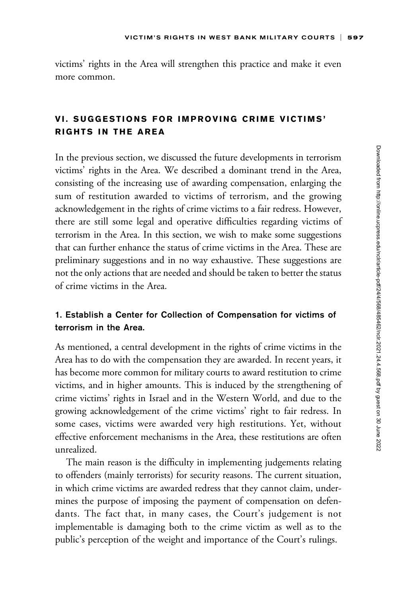victims' rights in the Area will strengthen this practice and make it even more common.

### VI. SUGGESTIONS FOR IMPROVING CRIME VICTIMS' RIGHTS IN THE AREA

In the previous section, we discussed the future developments in terrorism victims' rights in the Area. We described a dominant trend in the Area, consisting of the increasing use of awarding compensation, enlarging the sum of restitution awarded to victims of terrorism, and the growing acknowledgement in the rights of crime victims to a fair redress. However, there are still some legal and operative difficulties regarding victims of terrorism in the Area. In this section, we wish to make some suggestions that can further enhance the status of crime victims in the Area. These are preliminary suggestions and in no way exhaustive. These suggestions are not the only actions that are needed and should be taken to better the status of crime victims in the Area.

### 1. Establish a Center for Collection of Compensation for victims of terrorism in the Area.

As mentioned, a central development in the rights of crime victims in the Area has to do with the compensation they are awarded. In recent years, it has become more common for military courts to award restitution to crime victims, and in higher amounts. This is induced by the strengthening of crime victims' rights in Israel and in the Western World, and due to the growing acknowledgement of the crime victims' right to fair redress. In some cases, victims were awarded very high restitutions. Yet, without effective enforcement mechanisms in the Area, these restitutions are often unrealized.

The main reason is the difficulty in implementing judgements relating to offenders (mainly terrorists) for security reasons. The current situation, in which crime victims are awarded redress that they cannot claim, undermines the purpose of imposing the payment of compensation on defendants. The fact that, in many cases, the Court's judgement is not implementable is damaging both to the crime victim as well as to the public's perception of the weight and importance of the Court's rulings.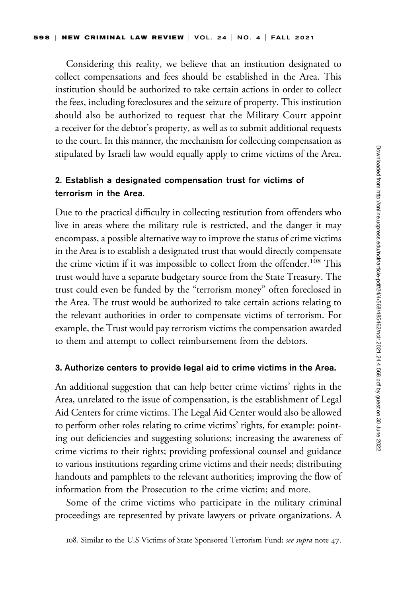Considering this reality, we believe that an institution designated to collect compensations and fees should be established in the Area. This institution should be authorized to take certain actions in order to collect the fees, including foreclosures and the seizure of property. This institution should also be authorized to request that the Military Court appoint a receiver for the debtor's property, as well as to submit additional requests to the court. In this manner, the mechanism for collecting compensation as stipulated by Israeli law would equally apply to crime victims of the Area.

### 2. Establish a designated compensation trust for victims of terrorism in the Area.

Due to the practical difficulty in collecting restitution from offenders who live in areas where the military rule is restricted, and the danger it may encompass, a possible alternative way to improve the status of crime victims in the Area is to establish a designated trust that would directly compensate the crime victim if it was impossible to collect from the offender.<sup>108</sup> This trust would have a separate budgetary source from the State Treasury. The trust could even be funded by the "terrorism money" often foreclosed in the Area. The trust would be authorized to take certain actions relating to the relevant authorities in order to compensate victims of terrorism. For example, the Trust would pay terrorism victims the compensation awarded to them and attempt to collect reimbursement from the debtors.

#### 3. Authorize centers to provide legal aid to crime victims in the Area.

An additional suggestion that can help better crime victims' rights in the Area, unrelated to the issue of compensation, is the establishment of Legal Aid Centers for crime victims. The Legal Aid Center would also be allowed to perform other roles relating to crime victims' rights, for example: pointing out deficiencies and suggesting solutions; increasing the awareness of crime victims to their rights; providing professional counsel and guidance to various institutions regarding crime victims and their needs; distributing handouts and pamphlets to the relevant authorities; improving the flow of information from the Prosecution to the crime victim; and more.

Some of the crime victims who participate in the military criminal proceedings are represented by private lawyers or private organizations. A

<sup>108.</sup> Similar to the U.S Victims of State Sponsored Terrorism Fund; see supra note 47.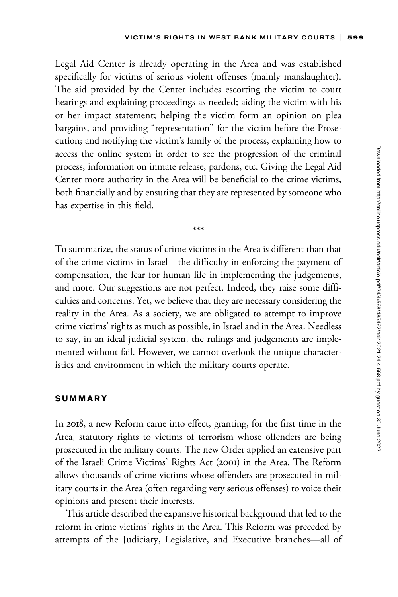Legal Aid Center is already operating in the Area and was established specifically for victims of serious violent offenses (mainly manslaughter). The aid provided by the Center includes escorting the victim to court hearings and explaining proceedings as needed; aiding the victim with his or her impact statement; helping the victim form an opinion on plea bargains, and providing "representation" for the victim before the Prosecution; and notifying the victim's family of the process, explaining how to access the online system in order to see the progression of the criminal process, information on inmate release, pardons, etc. Giving the Legal Aid Center more authority in the Area will be beneficial to the crime victims, both financially and by ensuring that they are represented by someone who has expertise in this field.

To summarize, the status of crime victims in the Area is different than that of the crime victims in Israel—the difficulty in enforcing the payment of compensation, the fear for human life in implementing the judgements, and more. Our suggestions are not perfect. Indeed, they raise some difficulties and concerns. Yet, we believe that they are necessary considering the reality in the Area. As a society, we are obligated to attempt to improve crime victims' rights as much as possible, in Israel and in the Area. Needless to say, in an ideal judicial system, the rulings and judgements are implemented without fail. However, we cannot overlook the unique characteristics and environment in which the military courts operate.

\*\*\*

#### SUMMARY

In 2018, a new Reform came into effect, granting, for the first time in the Area, statutory rights to victims of terrorism whose offenders are being prosecuted in the military courts. The new Order applied an extensive part of the Israeli Crime Victims' Rights Act (2001) in the Area. The Reform allows thousands of crime victims whose offenders are prosecuted in military courts in the Area (often regarding very serious offenses) to voice their opinions and present their interests.

This article described the expansive historical background that led to the reform in crime victims' rights in the Area. This Reform was preceded by attempts of the Judiciary, Legislative, and Executive branches—all of